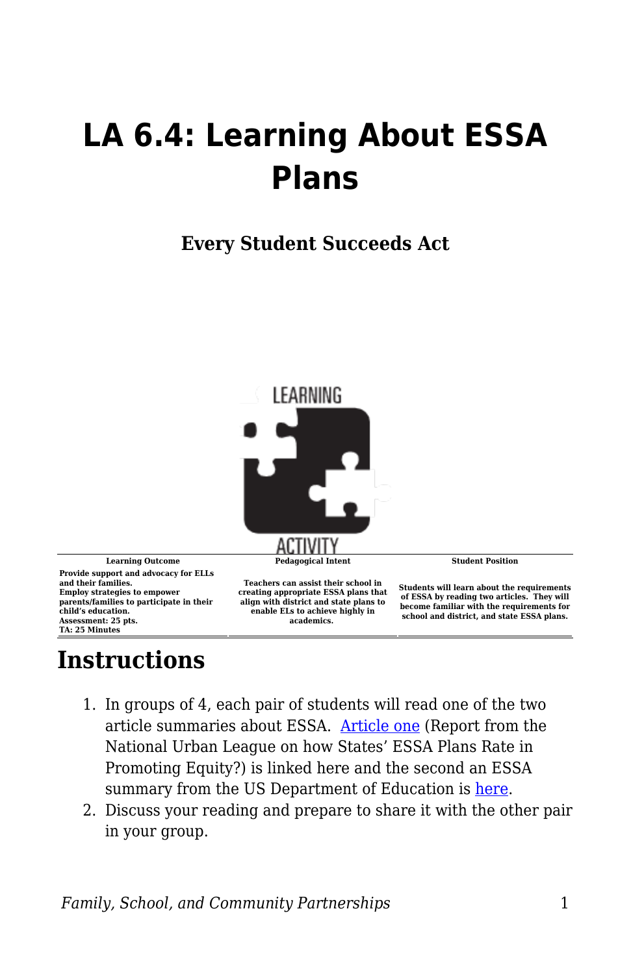## **LA 6.4: Learning About ESSA Plans**

**Every Student Succeeds Act**



**Provide support and advocacy for ELLs and their families. Employ strategies to empower parents/families to participate in their child's education. Assessment: 25 pts. TA: 25 Minutes**

**Teachers can assist their school in creating appropriate ESSA plans that align with district and state plans to enable ELs to achieve highly in academics.**

**Students will learn about the requirements of ESSA by reading two articles. They will become familiar with the requirements for school and district, and state ESSA plans.**

## **Instructions**

- 1. In groups of 4, each pair of students will read one of the two article summaries about ESSA. [Article one](https://byu.box.com/s/3j8x8mgck25vxne9cfrfa1fqhhqvd7pu) (Report from the National Urban League on how States' ESSA Plans Rate in Promoting Equity?) is linked here and the second an ESSA summary from the US Department of Education is [here](https://byu.box.com/s/07p85gfmqjw6m6hz1ct78qusdeqzm3j5).
- 2. Discuss your reading and prepare to share it with the other pair in your group.